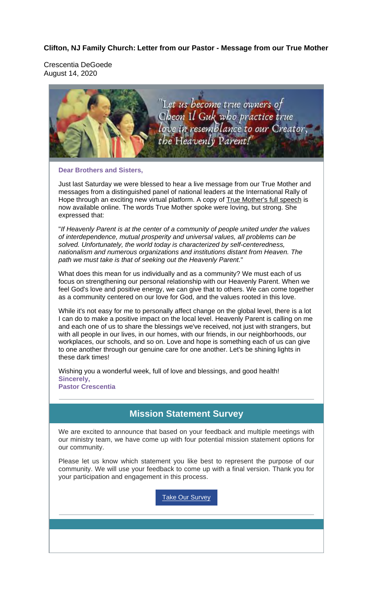#### **Clifton, NJ Family Church: Letter from our Pastor - Message from our True Mother**

Crescentia DeGoede August 14, 2020



#### **Dear Brothers and Sisters,**

Just last Saturday we were blessed to hear a live message from our True Mother and messages from a distinguished panel of national leaders at the International Rally of Hope through an exciting new virtual platform. A copy of True Mother's full speech is now available online. The words True Mother spoke were loving, but strong. She expressed that:

"*If Heavenly Parent is at the center of a community of people united under the values of interdependence, mutual prosperity and universal values, all problems can be solved. Unfortunately, the world today is characterized by self-centeredness, nationalism and numerous organizations and institutions distant from Heaven. The path we must take is that of seeking out the Heavenly Parent.*"

What does this mean for us individually and as a community? We must each of us focus on strengthening our personal relationship with our Heavenly Parent. When we feel God's love and positive energy, we can give that to others. We can come together as a community centered on our love for God, and the values rooted in this love.

While it's not easy for me to personally affect change on the global level, there is a lot I can do to make a positive impact on the local level. Heavenly Parent is calling on me and each one of us to share the blessings we've received, not just with strangers, but with all people in our lives, in our homes, with our friends, in our neighborhoods, our workplaces, our schools, and so on. Love and hope is something each of us can give to one another through our genuine care for one another. Let's be shining lights in these dark times!

Wishing you a wonderful week, full of love and blessings, and good health! **Sincerely, Pastor Crescentia**

#### **Mission Statement Survey**

We are excited to announce that based on your feedback and multiple meetings with our ministry team, we have come up with four potential mission statement options for our community.

Please let us know which statement you like best to represent the purpose of our community. We will use your feedback to come up with a final version. Thank you for your participation and engagement in this process.

**Take Our Survey**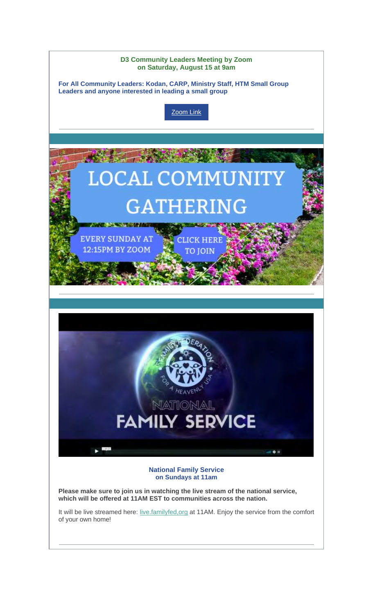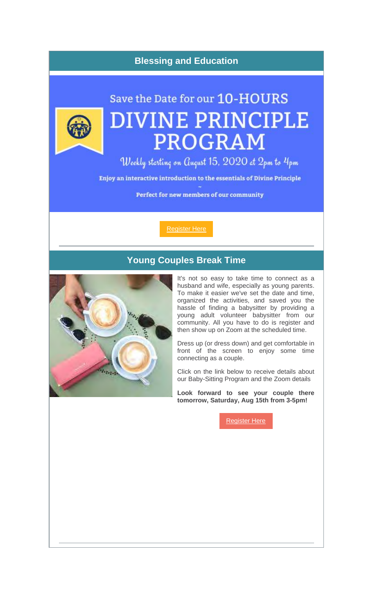## **Blessing and Education**



# Save the Date for our 10-HOURS **DIVINE PRINCIPLE PROGRAM**

Weekly starting on August 15, 2020 at 2pm to 4pm Enjoy an interactive introduction to the essentials of Divine Principle Perfect for new members of our community

Register Here

## **Young Couples Break Time**



It's not so easy to take time to connect as a husband and wife, especially as young parents. To make it easier we've set the date and time, organized the activities, and saved you the hassle of finding a babysitter by providing a young adult volunteer babysitter from our community. All you have to do is register and then show up on Zoom at the scheduled time.

Dress up (or dress down) and get comfortable in front of the screen to enjoy some time connecting as a couple.

Click on the link below to receive details about our Baby-Sitting Program and the Zoom details

**Look forward to see your couple there tomorrow, Saturday, Aug 15th from 3-5pm!**

Register Here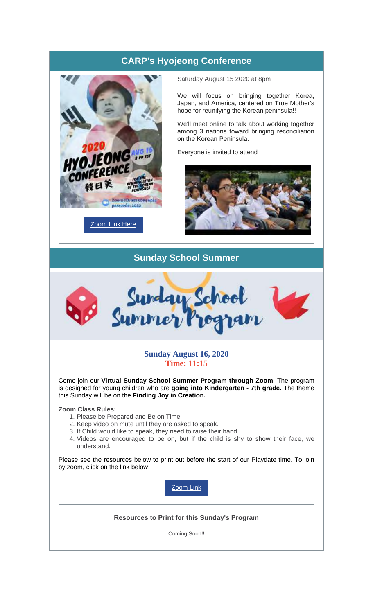# **CARP's Hyojeong Conference**



**Zoom Link Here** 

Saturday August 15 2020 at 8pm

We will focus on bringing together Korea, Japan, and America, centered on True Mother's hope for reunifying the Korean peninsula!!

We'll meet online to talk about working together among 3 nations toward bringing reconciliation on the Korean Peninsula.

Everyone is invited to attend



#### **Sunday School Summer**



#### **Sunday August 16, 2020 Time: 11:15**

Come join our **Virtual Sunday School Summer Program through Zoom**. The program is designed for young children who are **going into Kindergarten - 7th grade.** The theme this Sunday will be on the **Finding Joy in Creation.**

**Zoom Class Rules:**

- 1. Please be Prepared and Be on Time
- 2. Keep video on mute until they are asked to speak.
- 3. If Child would like to speak, they need to raise their hand
- 4. Videos are encouraged to be on, but if the child is shy to show their face, we understand.

Please see the resources below to print out before the start of our Playdate time. To join by zoom, click on the link below:

Zoom Link

**Resources to Print for this Sunday's Program**

Coming Soon!!